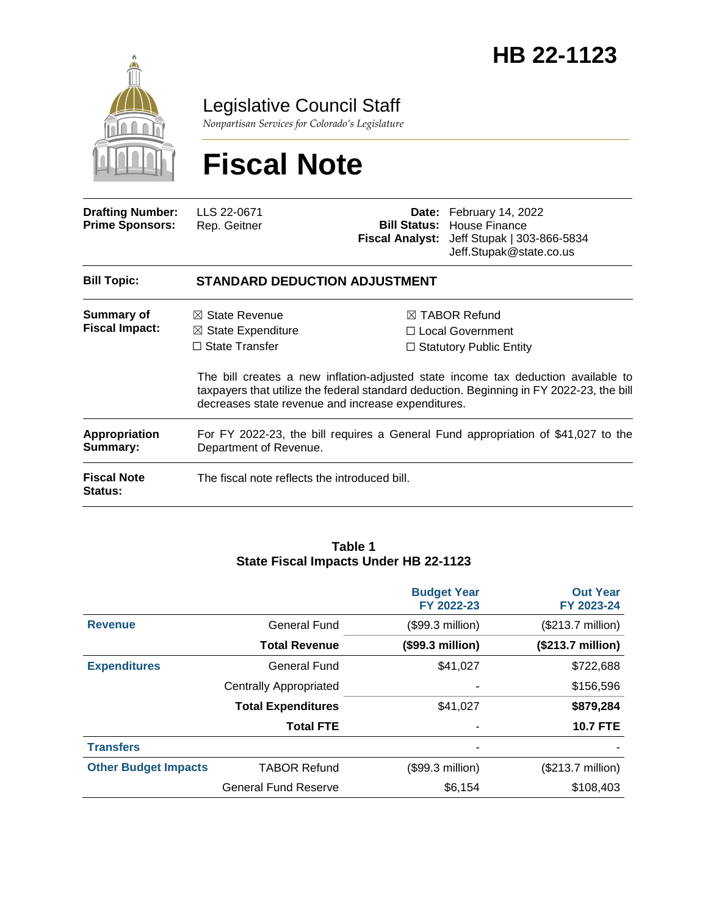

Legislative Council Staff

*Nonpartisan Services for Colorado's Legislature*

# **Fiscal Note**

| <b>Drafting Number:</b><br><b>Prime Sponsors:</b> | LLS 22-0671<br>Rep. Geitner                                                                                                                                                                                                         |  | <b>Date:</b> February 14, 2022<br><b>Bill Status:</b> House Finance<br>Fiscal Analyst: Jeff Stupak   303-866-5834<br>Jeff.Stupak@state.co.us |  |  |
|---------------------------------------------------|-------------------------------------------------------------------------------------------------------------------------------------------------------------------------------------------------------------------------------------|--|----------------------------------------------------------------------------------------------------------------------------------------------|--|--|
| <b>Bill Topic:</b>                                | <b>STANDARD DEDUCTION ADJUSTMENT</b>                                                                                                                                                                                                |  |                                                                                                                                              |  |  |
| Summary of<br><b>Fiscal Impact:</b>               | $\boxtimes$ State Revenue<br>$\boxtimes$ State Expenditure                                                                                                                                                                          |  | $\boxtimes$ TABOR Refund<br>$\Box$ Local Government                                                                                          |  |  |
|                                                   | $\Box$ State Transfer                                                                                                                                                                                                               |  | $\Box$ Statutory Public Entity                                                                                                               |  |  |
|                                                   | The bill creates a new inflation-adjusted state income tax deduction available to<br>taxpayers that utilize the federal standard deduction. Beginning in FY 2022-23, the bill<br>decreases state revenue and increase expenditures. |  |                                                                                                                                              |  |  |
| <b>Appropriation</b><br>Summary:                  | For FY 2022-23, the bill requires a General Fund appropriation of \$41,027 to the<br>Department of Revenue.                                                                                                                         |  |                                                                                                                                              |  |  |
| <b>Fiscal Note</b><br><b>Status:</b>              | The fiscal note reflects the introduced bill.                                                                                                                                                                                       |  |                                                                                                                                              |  |  |

#### **Table 1 State Fiscal Impacts Under HB 22-1123**

|                             |                               | <b>Budget Year</b><br>FY 2022-23 | <b>Out Year</b><br>FY 2023-24 |
|-----------------------------|-------------------------------|----------------------------------|-------------------------------|
| <b>Revenue</b>              | <b>General Fund</b>           | (\$99.3 million)                 | (\$213.7 million)             |
|                             | <b>Total Revenue</b>          | (\$99.3 million)                 | (\$213.7 million)             |
| <b>Expenditures</b>         | General Fund                  | \$41,027                         | \$722,688                     |
|                             | <b>Centrally Appropriated</b> | -                                | \$156,596                     |
|                             | <b>Total Expenditures</b>     | \$41,027                         | \$879,284                     |
|                             | <b>Total FTE</b>              | ٠                                | <b>10.7 FTE</b>               |
| <b>Transfers</b>            |                               | ۰                                |                               |
| <b>Other Budget Impacts</b> | <b>TABOR Refund</b>           | (\$99.3 million)                 | (\$213.7 million)             |
|                             | <b>General Fund Reserve</b>   | \$6,154                          | \$108,403                     |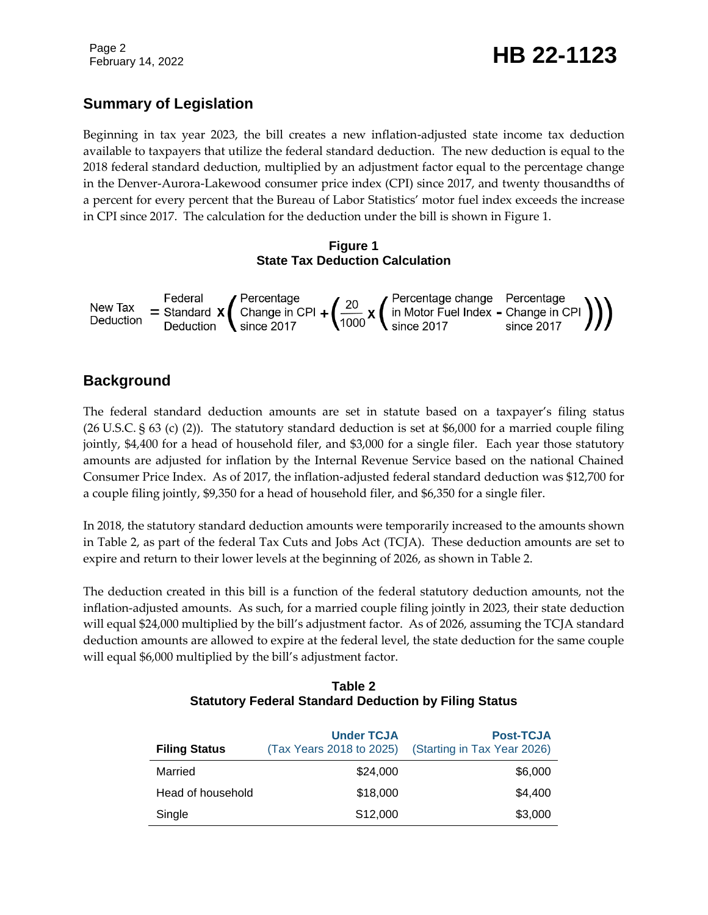# February 14, 2022 **HB 22-1123**

# **Summary of Legislation**

Beginning in tax year 2023, the bill creates a new inflation-adjusted state income tax deduction available to taxpayers that utilize the federal standard deduction. The new deduction is equal to the 2018 federal standard deduction, multiplied by an adjustment factor equal to the percentage change in the Denver-Aurora-Lakewood consumer price index (CPI) since 2017, and twenty thousandths of a percent for every percent that the Bureau of Labor Statistics' motor fuel index exceeds the increase in CPI since 2017. The calculation for the deduction under the bill is shown in Figure 1.

#### **Figure 1 State Tax Deduction Calculation**



# **Background**

The federal standard deduction amounts are set in statute based on a taxpayer's filing status (26 U.S.C. § 63 (c) (2)). The statutory standard deduction is set at \$6,000 for a married couple filing jointly, \$4,400 for a head of household filer, and \$3,000 for a single filer. Each year those statutory amounts are adjusted for inflation by the Internal Revenue Service based on the national Chained Consumer Price Index. As of 2017, the inflation-adjusted federal standard deduction was \$12,700 for a couple filing jointly, \$9,350 for a head of household filer, and \$6,350 for a single filer.

In 2018, the statutory standard deduction amounts were temporarily increased to the amounts shown in Table 2, as part of the federal Tax Cuts and Jobs Act (TCJA). These deduction amounts are set to expire and return to their lower levels at the beginning of 2026, as shown in Table 2.

The deduction created in this bill is a function of the federal statutory deduction amounts, not the inflation-adjusted amounts. As such, for a married couple filing jointly in 2023, their state deduction will equal \$24,000 multiplied by the bill's adjustment factor. As of 2026, assuming the TCJA standard deduction amounts are allowed to expire at the federal level, the state deduction for the same couple will equal \$6,000 multiplied by the bill's adjustment factor.

| <b>Filing Status</b> | <b>Under TCJA</b><br>(Tax Years 2018 to 2025) | <b>Post-TCJA</b><br>(Starting in Tax Year 2026) |
|----------------------|-----------------------------------------------|-------------------------------------------------|
| Married              | \$24,000                                      | \$6,000                                         |
| Head of household    | \$18,000                                      | \$4,400                                         |
| Single               | S12,000                                       | \$3,000                                         |

#### **Table 2 Statutory Federal Standard Deduction by Filing Status**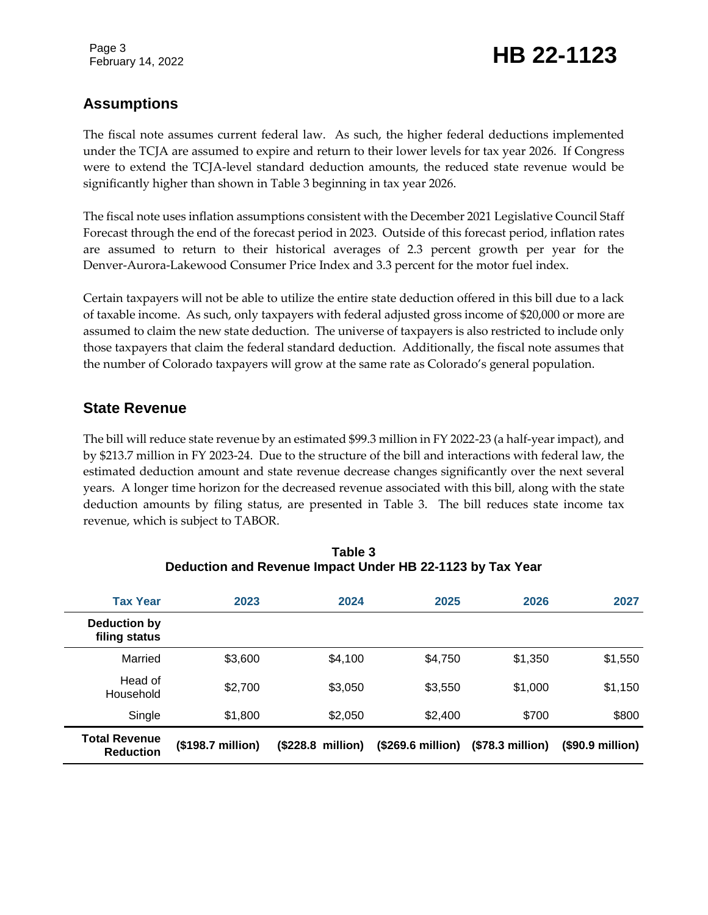Page 3

# February 14, 2022 **HB 22-1123**

### **Assumptions**

The fiscal note assumes current federal law. As such, the higher federal deductions implemented under the TCJA are assumed to expire and return to their lower levels for tax year 2026. If Congress were to extend the TCJA-level standard deduction amounts, the reduced state revenue would be significantly higher than shown in Table 3 beginning in tax year 2026.

The fiscal note uses inflation assumptions consistent with the December 2021 Legislative Council Staff Forecast through the end of the forecast period in 2023. Outside of this forecast period, inflation rates are assumed to return to their historical averages of 2.3 percent growth per year for the Denver-Aurora-Lakewood Consumer Price Index and 3.3 percent for the motor fuel index.

Certain taxpayers will not be able to utilize the entire state deduction offered in this bill due to a lack of taxable income. As such, only taxpayers with federal adjusted gross income of \$20,000 or more are assumed to claim the new state deduction. The universe of taxpayers is also restricted to include only those taxpayers that claim the federal standard deduction. Additionally, the fiscal note assumes that the number of Colorado taxpayers will grow at the same rate as Colorado's general population.

#### **State Revenue**

The bill will reduce state revenue by an estimated \$99.3 million in FY 2022-23 (a half-year impact), and by \$213.7 million in FY 2023-24. Due to the structure of the bill and interactions with federal law, the estimated deduction amount and state revenue decrease changes significantly over the next several years. A longer time horizon for the decreased revenue associated with this bill, along with the state deduction amounts by filing status, are presented in Table 3. The bill reduces state income tax revenue, which is subject to TABOR.

| <b>Tax Year</b>                          | 2023              | 2024                       | 2025              | 2026             | 2027             |
|------------------------------------------|-------------------|----------------------------|-------------------|------------------|------------------|
| Deduction by<br>filing status            |                   |                            |                   |                  |                  |
| Married                                  | \$3,600           | \$4,100                    | \$4,750           | \$1,350          | \$1,550          |
| Head of<br>Household                     | \$2,700           | \$3,050                    | \$3,550           | \$1,000          | \$1,150          |
| Single                                   | \$1,800           | \$2,050                    | \$2,400           | \$700            | \$800            |
| <b>Total Revenue</b><br><b>Reduction</b> | (\$198.7 million) | $($228.8 \text{ million})$ | (\$269.6 million) | (\$78.3 million) | (\$90.9 million) |

| Table 3                                                   |
|-----------------------------------------------------------|
| Deduction and Revenue Impact Under HB 22-1123 by Tax Year |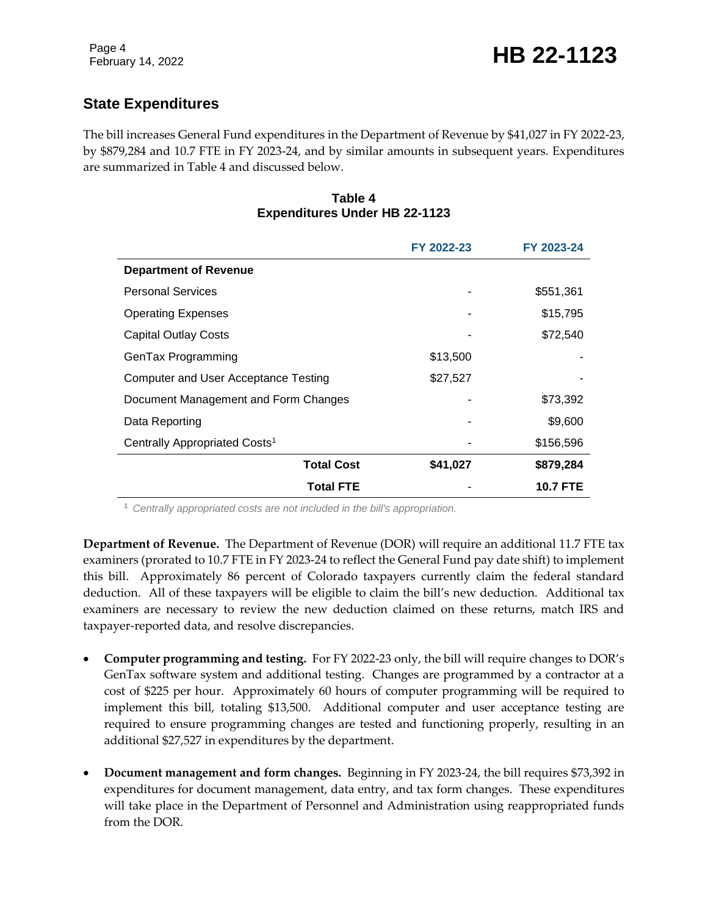# **State Expenditures**

The bill increases General Fund expenditures in the Department of Revenue by \$41,027 in FY 2022-23, by \$879,284 and 10.7 FTE in FY 2023-24, and by similar amounts in subsequent years. Expenditures are summarized in Table 4 and discussed below.

#### **Table 4 Expenditures Under HB 22-1123**

|                                           | FY 2022-23 | FY 2023-24      |
|-------------------------------------------|------------|-----------------|
| <b>Department of Revenue</b>              |            |                 |
| <b>Personal Services</b>                  |            | \$551,361       |
| <b>Operating Expenses</b>                 |            | \$15,795        |
| <b>Capital Outlay Costs</b>               |            | \$72,540        |
| GenTax Programming                        | \$13,500   |                 |
| Computer and User Acceptance Testing      | \$27,527   |                 |
| Document Management and Form Changes      |            | \$73,392        |
| Data Reporting                            |            | \$9,600         |
| Centrally Appropriated Costs <sup>1</sup> |            | \$156,596       |
| <b>Total Cost</b>                         | \$41,027   | \$879,284       |
| <b>Total FTE</b>                          |            | <b>10.7 FTE</b> |

<sup>1</sup> *Centrally appropriated costs are not included in the bill's appropriation.*

**Department of Revenue.** The Department of Revenue (DOR) will require an additional 11.7 FTE tax examiners (prorated to 10.7 FTE in FY 2023-24 to reflect the General Fund pay date shift) to implement this bill. Approximately 86 percent of Colorado taxpayers currently claim the federal standard deduction. All of these taxpayers will be eligible to claim the bill's new deduction. Additional tax examiners are necessary to review the new deduction claimed on these returns, match IRS and taxpayer-reported data, and resolve discrepancies.

- **Computer programming and testing.** For FY 2022-23 only, the bill will require changes to DOR's GenTax software system and additional testing. Changes are programmed by a contractor at a cost of \$225 per hour. Approximately 60 hours of computer programming will be required to implement this bill, totaling \$13,500. Additional computer and user acceptance testing are required to ensure programming changes are tested and functioning properly, resulting in an additional \$27,527 in expenditures by the department.
- **Document management and form changes.** Beginning in FY 2023-24, the bill requires \$73,392 in expenditures for document management, data entry, and tax form changes. These expenditures will take place in the Department of Personnel and Administration using reappropriated funds from the DOR.